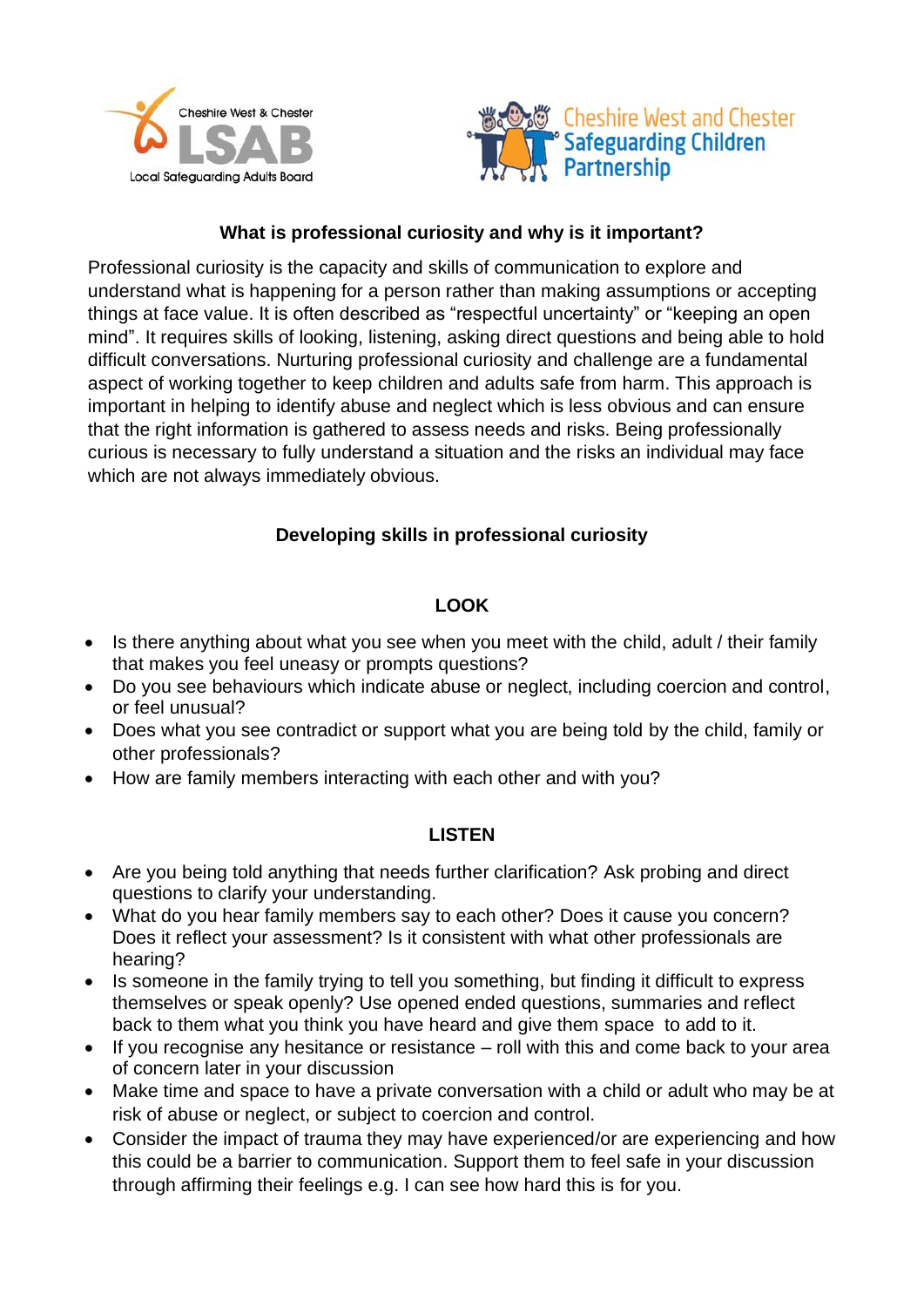



# **What is professional curiosity and why is it important?**

Professional curiosity is the capacity and skills of communication to explore and understand what is happening for a person rather than making assumptions or accepting things at face value. It is often described as "respectful uncertainty" or "keeping an open mind". It requires skills of looking, listening, asking direct questions and being able to hold difficult conversations. Nurturing professional curiosity and challenge are a fundamental aspect of working together to keep children and adults safe from harm. This approach is important in helping to identify abuse and neglect which is less obvious and can ensure that the right information is gathered to assess needs and risks. Being professionally curious is necessary to fully understand a situation and the risks an individual may face which are not always immediately obvious.

# **Developing skills in professional curiosity**

# **LOOK**

- Is there anything about what you see when you meet with the child, adult / their family that makes you feel uneasy or prompts questions?
- Do you see behaviours which indicate abuse or neglect, including coercion and control, or feel unusual?
- Does what you see contradict or support what you are being told by the child, family or other professionals?
- How are family members interacting with each other and with you?

## **LISTEN**

- Are you being told anything that needs further clarification? Ask probing and direct questions to clarify your understanding.
- What do you hear family members say to each other? Does it cause you concern? Does it reflect your assessment? Is it consistent with what other professionals are hearing?
- Is someone in the family trying to tell you something, but finding it difficult to express themselves or speak openly? Use opened ended questions, summaries and reflect back to them what you think you have heard and give them space to add to it.
- If you recognise any hesitance or resistance roll with this and come back to your area of concern later in your discussion
- Make time and space to have a private conversation with a child or adult who may be at risk of abuse or neglect, or subject to coercion and control.
- Consider the impact of trauma they may have experienced/or are experiencing and how this could be a barrier to communication. Support them to feel safe in your discussion through affirming their feelings e.g. I can see how hard this is for you.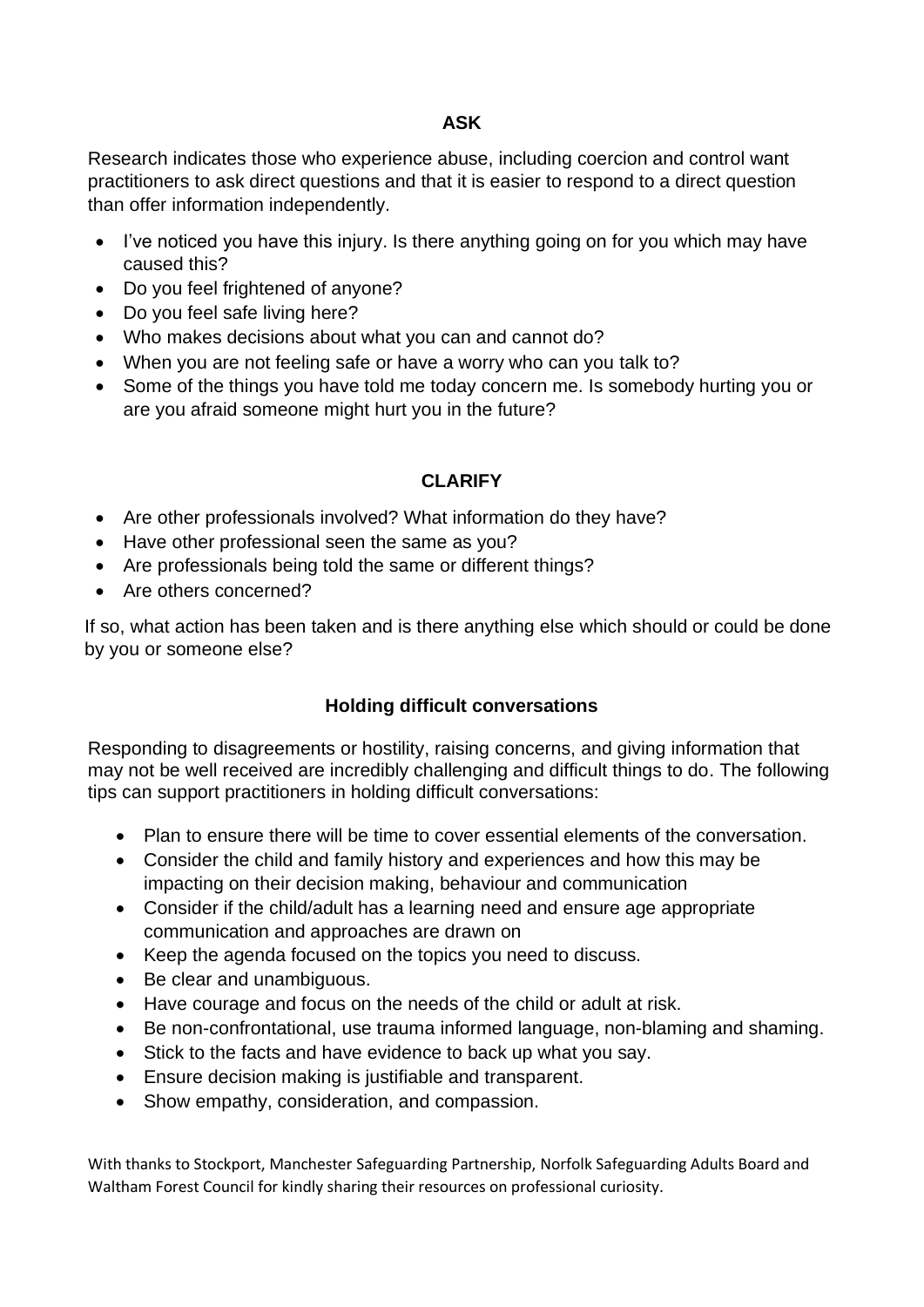### **ASK**

Research indicates those who experience abuse, including coercion and control want practitioners to ask direct questions and that it is easier to respond to a direct question than offer information independently.

- I've noticed you have this injury. Is there anything going on for you which may have caused this?
- Do you feel frightened of anyone?
- Do you feel safe living here?
- Who makes decisions about what you can and cannot do?
- When you are not feeling safe or have a worry who can you talk to?
- Some of the things you have told me today concern me. Is somebody hurting you or are you afraid someone might hurt you in the future?

## **CLARIFY**

- Are other professionals involved? What information do they have?
- Have other professional seen the same as you?
- Are professionals being told the same or different things?
- Are others concerned?

If so, what action has been taken and is there anything else which should or could be done by you or someone else?

#### **Holding difficult conversations**

Responding to disagreements or hostility, raising concerns, and giving information that may not be well received are incredibly challenging and difficult things to do. The following tips can support practitioners in holding difficult conversations:

- Plan to ensure there will be time to cover essential elements of the conversation.
- Consider the child and family history and experiences and how this may be impacting on their decision making, behaviour and communication
- Consider if the child/adult has a learning need and ensure age appropriate communication and approaches are drawn on
- Keep the agenda focused on the topics you need to discuss.
- Be clear and unambiguous.
- Have courage and focus on the needs of the child or adult at risk.
- Be non-confrontational, use trauma informed language, non-blaming and shaming.
- Stick to the facts and have evidence to back up what you say.
- Ensure decision making is justifiable and transparent.
- Show empathy, consideration, and compassion.

With thanks to Stockport, Manchester Safeguarding Partnership, Norfolk Safeguarding Adults Board and Waltham Forest Council for kindly sharing their resources on professional curiosity.